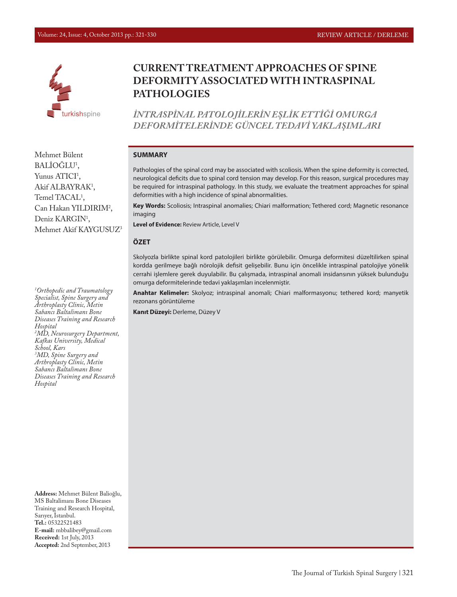

# **CURRENT TREATMENT APPROACHES OF SPINE DEFORMITY ASSOCIATED WITH INTRASPINAL PATHOLOGIES**

*İNTRASPİNAL PATOLOJİLERİN EŞLİK ETTİĞİ OMURGA DEFORMİTELERİNDE GÜNCEL TEDAVİ YAKLAŞIMLARI*

#### **SUMMARY**

Pathologies of the spinal cord may be associated with scoliosis. When the spine deformity is corrected, neurological deficits due to spinal cord tension may develop. For this reason, surgical procedures may be required for intraspinal pathology. In this study, we evaluate the treatment approaches for spinal deformities with a high incidence of spinal abnormalities.

**Key Words:** Scoliosis; Intraspinal anomalies; Chiari malformation; Tethered cord; Magnetic resonance imaging

**Level of Evidence:** Review Article, Level V

#### **ÖZET**

Skolyozla birlikte spinal kord patolojileri birlikte görülebilir. Omurga deformitesi düzeltilirken spinal kordda gerilmeye bağlı nörolojik defisit gelişebilir. Bunu için öncelikle intraspinal patolojiye yönelik cerrahi işlemlere gerek duyulabilir. Bu çalışmada, intraspinal anomali insidansının yüksek bulunduğu omurga deformitelerinde tedavi yaklaşımları incelenmiştir.

**Anahtar Kelimeler:** Skolyoz; intraspinal anomali; Chiari malformasyonu; tethered kord; manyetik rezonans görüntüleme

**Kanıt Düzeyi:** Derleme, Düzey V

Mehmet Bülent BALIOGLU<sup>1</sup>, Yunus ATICI<sup>1</sup>, Akif ALBAYRAK<sup>1</sup>, Temel TACAL<sup>1</sup>, Can Hakan YILDIRIM<sup>2</sup>, Deniz KARGIN<sup>1</sup>, Mehmet Akif KAYGUSUZ3

*1 Orthopedic and Traumatology Specialist, Spine Surgery and Arthroplasty Clinic, Metin Sabancı Baltalimanı Bone Diseases Training and Research Hospital 2 MD, Neurosurgery Department, Kafkas University, Medical School, Kars 3 MD, Spine Surgery and Arthroplasty Clinic, Metin Sabancı Baltalimanı Bone Diseases Training and Research Hospital*

**Address:** Mehmet Bülent Balioğlu, MS Baltalimanı Bone Diseases Training and Research Hospital, Sarıyer, İstanbul. **Tel.:** 05322521483 **E-mail:** mbbalibey@gmail.com **Received:** 1st July, 2013 **Accepted:** 2nd September, 2013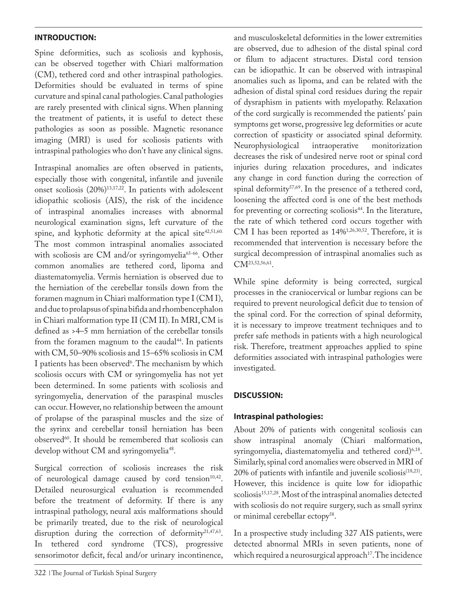### **INTRODUCTION:**

Spine deformities, such as scoliosis and kyphosis, can be observed together with Chiari malformation (CM), tethered cord and other intraspinal pathologies. Deformities should be evaluated in terms of spine curvature and spinal canal pathologies. Canal pathologies are rarely presented with clinical signs. When planning the treatment of patients, it is useful to detect these pathologies as soon as possible. Magnetic resonance imaging (MRI) is used for scoliosis patients with intraspinal pathologies who don't have any clinical signs.

Intraspinal anomalies are often observed in patients, especially those with congenital, infantile and juvenile onset scoliosis (20%)13,17,22. In patients with adolescent idiopathic scoliosis (AIS), the risk of the incidence of intraspinal anomalies increases with abnormal neurological examination signs, left curvature of the spine, and kyphotic deformity at the apical site<sup>42,51,60.</sup> The most common intraspinal anomalies associated with scoliosis are CM and/or syringomyelia<sup>65-66</sup>. Other common anomalies are tethered cord, lipoma and diastematomyelia. Vermis herniation is observed due to the herniation of the cerebellar tonsils down from the foramen magnum in Chiari malformation type I (CM I), and due to prolapsus of spina bifida and rhombencephalon in Chiari malformation type II (CM II). In MRI, CM is defined as >4–5 mm herniation of the cerebellar tonsils from the foramen magnum to the caudal $44$ . In patients with CM, 50–90% scoliosis and 15–65% scoliosis in CM I patients has been observed<sup>6</sup>. The mechanism by which scoliosis occurs with CM or syringomyelia has not yet been determined. In some patients with scoliosis and syringomyelia, denervation of the paraspinal muscles can occur. However, no relationship between the amount of prolapse of the paraspinal muscles and the size of the syrinx and cerebellar tonsil herniation has been observed<sup>60</sup>. It should be remembered that scoliosis can develop without CM and syringomyelia<sup>48</sup>.

Surgical correction of scoliosis increases the risk of neurological damage caused by cord tension $10,42$ . Detailed neurosurgical evaluation is recommended before the treatment of deformity. If there is any intraspinal pathology, neural axis malformations should be primarily treated, due to the risk of neurological disruption during the correction of deformity<sup>21,47,63</sup>. In tethered cord syndrome (TCS), progressive sensorimotor deficit, fecal and/or urinary incontinence,

and musculoskeletal deformities in the lower extremities are observed, due to adhesion of the distal spinal cord or filum to adjacent structures. Distal cord tension can be idiopathic. It can be observed with intraspinal anomalies such as lipoma, and can be related with the adhesion of distal spinal cord residues during the repair of dysraphism in patients with myelopathy. Relaxation of the cord surgically is recommended the patients' pain symptoms get worse, progressive leg deformities or acute correction of spasticity or associated spinal deformity. Neurophysiological decreases the risk of undesired nerve root or spinal cord injuries during relaxation procedures, and indicates any change in cord function during the correction of spinal deformity<sup>57,69</sup>. In the presence of a tethered cord, loosening the affected cord is one of the best methods for preventing or correcting scoliosis<sup>44</sup>. In the literature, the rate of which tethered cord occurs together with CM I has been reported as 14%1,26,30,52. Therefore, it is recommended that intervention is necessary before the surgical decompression of intraspinal anomalies such as CM<sup>23,52,56,61</sup>.

While spine deformity is being corrected, surgical processes in the craniocervical or lumbar regions can be required to prevent neurological deficit due to tension of the spinal cord. For the correction of spinal deformity, it is necessary to improve treatment techniques and to prefer safe methods in patients with a high neurological risk. Therefore, treatment approaches applied to spine deformities associated with intraspinal pathologies were investigated.

### **DISCUSSION:**

### **Intraspinal pathologies:**

About 20% of patients with congenital scoliosis can show intraspinal anomaly (Chiari malformation, syringomyelia, diastematomyelia and tethered cord)<sup>6,18</sup>. Similarly, spinal cord anomalies were observed in MRI of 20% of patients with infantile and juvenile scoliosis<sup>(18,23)</sup>. However, this incidence is quite low for idiopathic scoliosis<sup>15,17,28</sup>. Most of the intraspinal anomalies detected with scoliosis do not require surgery, such as small syrinx or minimal cerebellar ectopy<sup>58</sup>.

In a prospective study including 327 AIS patients, were detected abnormal MRIs in seven patients, none of which required a neurosurgical approach<sup>17</sup>. The incidence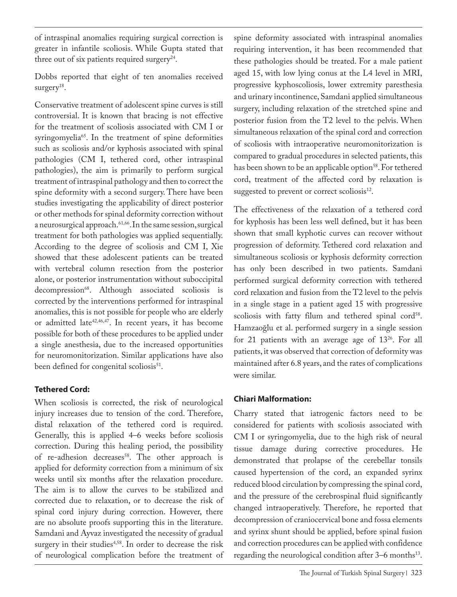of intraspinal anomalies requiring surgical correction is greater in infantile scoliosis. While Gupta stated that three out of six patients required surgery<sup>24</sup>.

Dobbs reported that eight of ten anomalies received surgery $18$ .

Conservative treatment of adolescent spine curves is still controversial. It is known that bracing is not effective for the treatment of scoliosis associated with CM I or syringomyelia<sup>65</sup>. In the treatment of spine deformities such as scoliosis and/or kyphosis associated with spinal pathologies (CM I, tethered cord, other intraspinal pathologies), the aim is primarily to perform surgical treatment of intraspinal pathology and then to correct the spine deformity with a second surgery. There have been studies investigating the applicability of direct posterior or other methods for spinal deformity correction without a neurosurgical approach.<sup>61,66</sup>. In the same session, surgical treatment for both pathologies was applied sequentially. According to the degree of scoliosis and CM I, Xie showed that these adolescent patients can be treated with vertebral column resection from the posterior alone, or posterior instrumentation without suboccipital decompression<sup>68</sup>. Although associated scoliosis is corrected by the interventions performed for intraspinal anomalies, this is not possible for people who are elderly or admitted late<sup>42,46,47</sup>. In recent years, it has become possible for both of these procedures to be applied under a single anesthesia, due to the increased opportunities for neuromonitorization. Similar applications have also been defined for congenital scoliosis<sup>51</sup>.

## **Tethered Cord:**

When scoliosis is corrected, the risk of neurological injury increases due to tension of the cord. Therefore, distal relaxation of the tethered cord is required. Generally, this is applied 4–6 weeks before scoliosis correction. During this healing period, the possibility of re-adhesion decreases<sup>58</sup>. The other approach is applied for deformity correction from a minimum of six weeks until six months after the relaxation procedure. The aim is to allow the curves to be stabilized and corrected due to relaxation, or to decrease the risk of spinal cord injury during correction. However, there are no absolute proofs supporting this in the literature. Samdani and Ayvaz investigated the necessity of gradual surgery in their studies<sup>4,58</sup>. In order to decrease the risk of neurological complication before the treatment of

spine deformity associated with intraspinal anomalies requiring intervention, it has been recommended that these pathologies should be treated. For a male patient aged 15, with low lying conus at the L4 level in MRI, progressive kyphoscoliosis, lower extremity paresthesia and urinary incontinence, Samdani applied simultaneous surgery, including relaxation of the stretched spine and posterior fusion from the T2 level to the pelvis. When simultaneous relaxation of the spinal cord and correction of scoliosis with intraoperative neuromonitorization is compared to gradual procedures in selected patients, this has been shown to be an applicable option<sup>58</sup>. For tethered cord, treatment of the affected cord by relaxation is suggested to prevent or correct scoliosis<sup>12</sup>.

The effectiveness of the relaxation of a tethered cord for kyphosis has been less well defined, but it has been shown that small kyphotic curves can recover without progression of deformity. Tethered cord relaxation and simultaneous scoliosis or kyphosis deformity correction has only been described in two patients. Samdani performed surgical deformity correction with tethered cord relaxation and fusion from the T2 level to the pelvis in a single stage in a patient aged 15 with progressive scoliosis with fatty filum and tethered spinal cord<sup>58</sup>. Hamzaoğlu et al. performed surgery in a single session for 21 patients with an average age of 1326. For all patients, it was observed that correction of deformity was maintained after 6.8 years, and the rates of complications were similar.

## **Chiari Malformation:**

Charry stated that iatrogenic factors need to be considered for patients with scoliosis associated with CM I or syringomyelia, due to the high risk of neural tissue damage during corrective procedures. He demonstrated that prolapse of the cerebellar tonsils caused hypertension of the cord, an expanded syrinx reduced blood circulation by compressing the spinal cord, and the pressure of the cerebrospinal fluid significantly changed intraoperatively. Therefore, he reported that decompression of craniocervical bone and fossa elements and syrinx shunt should be applied, before spinal fusion and correction procedures can be applied with confidence regarding the neurological condition after 3-6 months<sup>13</sup>.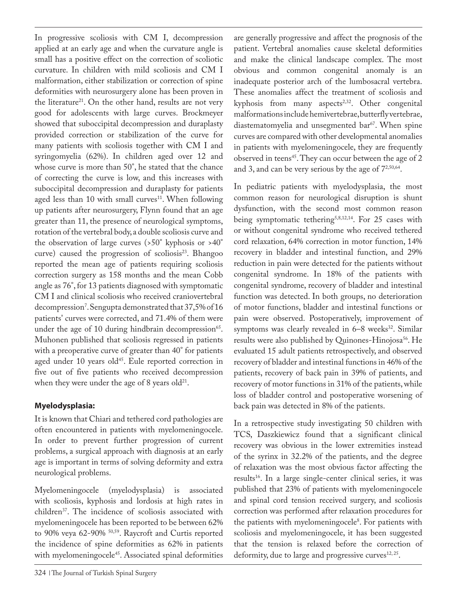In progressive scoliosis with CM I, decompression applied at an early age and when the curvature angle is small has a positive effect on the correction of scoliotic curvature. In children with mild scoliosis and CM I malformation, either stabilization or correction of spine deformities with neurosurgery alone has been proven in the literature<sup>21</sup>. On the other hand, results are not very good for adolescents with large curves. Brockmeyer showed that suboccipital decompression and duraplasty provided correction or stabilization of the curve for many patients with scoliosis together with CM I and syringomyelia (62%). In children aged over 12 and whose curve is more than 50°, he stated that the chance of correcting the curve is low, and this increases with suboccipital decompression and duraplasty for patients aged less than 10 with small curves<sup>11</sup>. When following up patients after neurosurgery, Flynn found that an age greater than 11, the presence of neurological symptoms, rotation of the vertebral body, a double scoliosis curve and the observation of large curves (>50° kyphosis or >40° curve) caused the progression of scoliosis<sup>23</sup>. Bhangoo reported the mean age of patients requiring scoliosis correction surgery as 158 months and the mean Cobb angle as 76°, for 13 patients diagnosed with symptomatic CM I and clinical scoliosis who received craniovertebral decompression7 . Sengupta demonstrated that 37,5% of 16 patients' curves were corrected, and 71.4% of them were under the age of 10 during hindbrain decompression $65$ . Muhonen published that scoliosis regressed in patients with a preoperative curve of greater than 40<sup>°</sup> for patients aged under 10 years old<sup>45</sup>. Eule reported correction in five out of five patients who received decompression when they were under the age of 8 years old $^{21}$ .

## **Myelodysplasia:**

It is known that Chiari and tethered cord pathologies are often encountered in patients with myelomeningocele. In order to prevent further progression of current problems, a surgical approach with diagnosis at an early age is important in terms of solving deformity and extra neurological problems.

Myelomeningocele (myelodysplasia) is associated with scoliosis, kyphosis and lordosis at high rates in children37. The incidence of scoliosis associated with myelomeningocele has been reported to be between 62% to 90% veya 62-90% <sup>50,59</sup>. Raycroft and Curtis reported the incidence of spine deformities as 62% in patients with myelomeningocele<sup>45</sup>. Associated spinal deformities

are generally progressive and affect the prognosis of the patient. Vertebral anomalies cause skeletal deformities and make the clinical landscape complex. The most obvious and common congenital anomaly is an inadequate posterior arch of the lumbosacral vertebra. These anomalies affect the treatment of scoliosis and kyphosis from many aspects $2,32$ . Other congenital malformations include hemivertebrae, butterfly vertebrae, diastematomyelia and unsegmented bar<sup>67</sup>. When spine curves are compared with other developmental anomalies in patients with myelomeningocele, they are frequently observed in teens<sup>45</sup>. They can occur between the age of 2 and 3, and can be very serious by the age of  $7^{2,50,64}$ .

In pediatric patients with myelodysplasia, the most common reason for neurological disruption is shunt dysfunction, with the second most common reason being symptomatic tethering<sup>5,8,12,14</sup>. For 25 cases with or without congenital syndrome who received tethered cord relaxation, 64% correction in motor function, 14% recovery in bladder and intestinal function, and 29% reduction in pain were detected for the patients without congenital syndrome. In 18% of the patients with congenital syndrome, recovery of bladder and intestinal function was detected. In both groups, no deterioration of motor functions, bladder and intestinal functions or pain were observed. Postoperatively, improvement of symptoms was clearly revealed in  $6-8$  weeks<sup>32</sup>. Similar results were also published by Quinones-Hinojosa<sup>56</sup>. He evaluated 15 adult patients retrospectively, and observed recovery of bladder and intestinal functions in 46% of the patients, recovery of back pain in 39% of patients, and recovery of motor functions in 31% of the patients, while loss of bladder control and postoperative worsening of back pain was detected in 8% of the patients.

In a retrospective study investigating 50 children with TCS, Daszkiewicz found that a significant clinical recovery was obvious in the lower extremities instead of the syrinx in 32.2% of the patients, and the degree of relaxation was the most obvious factor affecting the results<sup>16</sup>. In a large single-center clinical series, it was published that 23% of patients with myelomeningocele and spinal cord tension received surgery, and scoliosis correction was performed after relaxation procedures for the patients with myelomeningocele<sup>8</sup>. For patients with scoliosis and myelomeningocele, it has been suggested that the tension is relaxed before the correction of deformity, due to large and progressive curves $12, 25$ .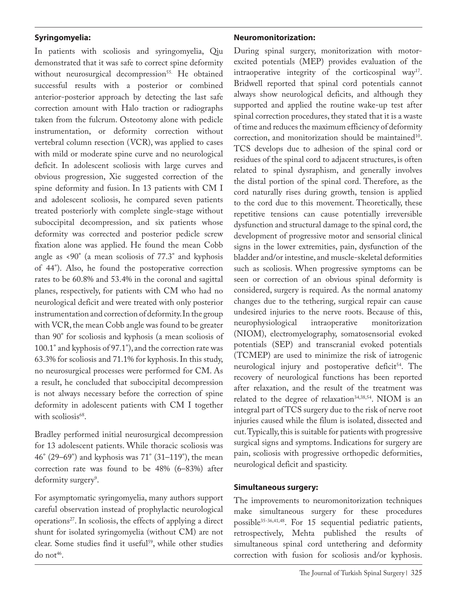### **Syringomyelia:**

In patients with scoliosis and syringomyelia, Qiu demonstrated that it was safe to correct spine deformity without neurosurgical decompression<sup>55.</sup> He obtained successful results with a posterior or combined anterior-posterior approach by detecting the last safe correction amount with Halo traction or radiographs taken from the fulcrum. Osteotomy alone with pedicle instrumentation, or deformity correction without vertebral column resection (VCR), was applied to cases with mild or moderate spine curve and no neurological deficit. In adolescent scoliosis with large curves and obvious progression, Xie suggested correction of the spine deformity and fusion. In 13 patients with CM I and adolescent scoliosis, he compared seven patients treated posteriorly with complete single-stage without suboccipital decompression, and six patients whose deformity was corrected and posterior pedicle screw fixation alone was applied. He found the mean Cobb angle as <90° (a mean scoliosis of 77.3° and kyphosis of 44°). Also, he found the postoperative correction rates to be 60.8% and 53.4% in the coronal and sagittal planes, respectively, for patients with CM who had no neurological deficit and were treated with only posterior instrumentation and correction of deformity. In the group with VCR, the mean Cobb angle was found to be greater than 90° for scoliosis and kyphosis (a mean scoliosis of 100.1° and kyphosis of 97.1°), and the correction rate was 63.3% for scoliosis and 71.1% for kyphosis. In this study, no neurosurgical processes were performed for CM. As a result, he concluded that suboccipital decompression is not always necessary before the correction of spine deformity in adolescent patients with CM I together with scoliosis<sup>68</sup>.

Bradley performed initial neurosurgical decompression for 13 adolescent patients. While thoracic scoliosis was 46° (29–69°) and kyphosis was 71° (31–119°), the mean correction rate was found to be 48% (6–83%) after deformity surgery<sup>9</sup>.

For asymptomatic syringomyelia, many authors support careful observation instead of prophylactic neurological operations27. In scoliosis, the effects of applying a direct shunt for isolated syringomyelia (without CM) are not clear. Some studies find it useful<sup>59</sup>, while other studies do not<sup>46</sup>.

### **Neuromonitorization:**

During spinal surgery, monitorization with motorexcited potentials (MEP) provides evaluation of the intraoperative integrity of the corticospinal way<sup>17</sup>. Bridwell reported that spinal cord potentials cannot always show neurological deficits, and although they supported and applied the routine wake-up test after spinal correction procedures, they stated that it is a waste of time and reduces the maximum efficiency of deformity correction, and monitorization should be maintained<sup>10</sup>. TCS develops due to adhesion of the spinal cord or residues of the spinal cord to adjacent structures, is often related to spinal dysraphism, and generally involves the distal portion of the spinal cord. Therefore, as the cord naturally rises during growth, tension is applied to the cord due to this movement. Theoretically, these repetitive tensions can cause potentially irreversible dysfunction and structural damage to the spinal cord, the development of progressive motor and sensorial clinical signs in the lower extremities, pain, dysfunction of the bladder and/or intestine, and muscle-skeletal deformities such as scoliosis. When progressive symptoms can be seen or correction of an obvious spinal deformity is considered, surgery is required. As the normal anatomy changes due to the tethering, surgical repair can cause undesired injuries to the nerve roots. Because of this, neurophysiological intraoperative monitorization (NIOM), electromyelography, somatosensorial evoked potentials (SEP) and transcranial evoked potentials (TCMEP) are used to minimize the risk of iatrogenic neurological injury and postoperative deficit<sup>54</sup>. The recovery of neurological functions has been reported after relaxation, and the result of the treatment was related to the degree of relaxation<sup>34,38,54</sup>. NIOM is an integral part of TCS surgery due to the risk of nerve root injuries caused while the filum is isolated, dissected and cut. Typically, this is suitable for patients with progressive surgical signs and symptoms. Indications for surgery are pain, scoliosis with progressive orthopedic deformities, neurological deficit and spasticity.

### **Simultaneous surgery:**

The improvements to neuromonitorization techniques make simultaneous surgery for these procedures possible<sup>35-36,41,48</sup>. For 15 sequential pediatric patients, retrospectively, Mehta published the results of simultaneous spinal cord untethering and deformity correction with fusion for scoliosis and/or kyphosis.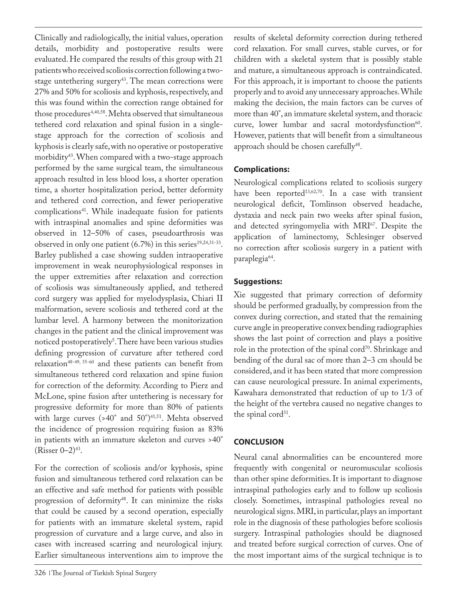Clinically and radiologically, the initial values, operation details, morbidity and postoperative results were evaluated. He compared the results of this group with 21 patients who received scoliosis correction following a twostage untethering surgery<sup>43</sup>. The mean corrections were 27% and 50% for scoliosis and kyphosis, respectively, and this was found within the correction range obtained for those procedures<sup>4,40,58</sup>. Mehta observed that simultaneous tethered cord relaxation and spinal fusion in a singlestage approach for the correction of scoliosis and kyphosis is clearly safe, with no operative or postoperative morbidity43. When compared with a two-stage approach performed by the same surgical team, the simultaneous approach resulted in less blood loss, a shorter operation time, a shorter hospitalization period, better deformity and tethered cord correction, and fewer perioperative complications<sup>41</sup>. While inadequate fusion for patients with intraspinal anomalies and spine deformities was observed in 12–50% of cases, pseudoarthrosis was observed in only one patient  $(6.7%)$  in this series<sup>19,24,31-33</sup>. Barley published a case showing sudden intraoperative improvement in weak neurophysiological responses in the upper extremities after relaxation and correction of scoliosis was simultaneously applied, and tethered cord surgery was applied for myelodysplasia, Chiari II malformation, severe scoliosis and tethered cord at the lumbar level. A harmony between the monitorization changes in the patient and the clinical improvement was noticed postoperatively<sup>s</sup>. There have been various studies defining progression of curvature after tethered cord relaxation48-49, 55-60 and these patients can benefit from simultaneous tethered cord relaxation and spine fusion for correction of the deformity. According to Pierz and McLone, spine fusion after untethering is necessary for progressive deformity for more than 80% of patients with large curves  $($ >40° and 50°)<sup>41,51</sup>. Mehta observed the incidence of progression requiring fusion as 83% in patients with an immature skeleton and curves >40°  $(Risser 0-2)^{43}$ . For the correction of scoliosis and/or kyphosis, spine

fusion and simultaneous tethered cord relaxation can be an effective and safe method for patients with possible progression of deformity<sup>48</sup>. It can minimize the risks that could be caused by a second operation, especially for patients with an immature skeletal system, rapid progression of curvature and a large curve, and also in cases with increased scarring and neurological injury. Earlier simultaneous interventions aim to improve the

results of skeletal deformity correction during tethered cord relaxation. For small curves, stable curves, or for children with a skeletal system that is possibly stable and mature, a simultaneous approach is contraindicated. For this approach, it is important to choose the patients properly and to avoid any unnecessary approaches. While making the decision, the main factors can be curves of more than 40°, an immature skeletal system, and thoracic curve, lower lumbar and sacral motordysfunction $60$ . However, patients that will benefit from a simultaneous approach should be chosen carefully<sup>48</sup>.

### **Complications:**

Neurological complications related to scoliosis surgery have been reported<sup>13,62,70</sup>. In a case with transient neurological deficit, Tomlinson observed headache, dystaxia and neck pain two weeks after spinal fusion, and detected syringomyelia with MRI67. Despite the application of laminectomy, Schlesinger observed no correction after scoliosis surgery in a patient with paraplegia<sup>64</sup>.

### **Suggestions:**

Xie suggested that primary correction of deformity should be performed gradually, by compression from the convex during correction, and stated that the remaining curve angle in preoperative convex bending radiographies shows the last point of correction and plays a positive role in the protection of the spinal cord<sup>70</sup>. Shrinkage and bending of the dural sac of more than 2–3 cm should be considered, and it has been stated that more compression can cause neurological pressure. In animal experiments, Kawahara demonstrated that reduction of up to 1/3 of the height of the vertebra caused no negative changes to the spinal cord<sup>31</sup>.

### **CONCLUSION**

Neural canal abnormalities can be encountered more frequently with congenital or neuromuscular scoliosis than other spine deformities. It is important to diagnose intraspinal pathologies early and to follow up scoliosis closely. Sometimes, intraspinal pathologies reveal no neurological signs. MRI, in particular, plays an important role in the diagnosis of these pathologies before scoliosis surgery. Intraspinal pathologies should be diagnosed and treated before surgical correction of curves. One of the most important aims of the surgical technique is to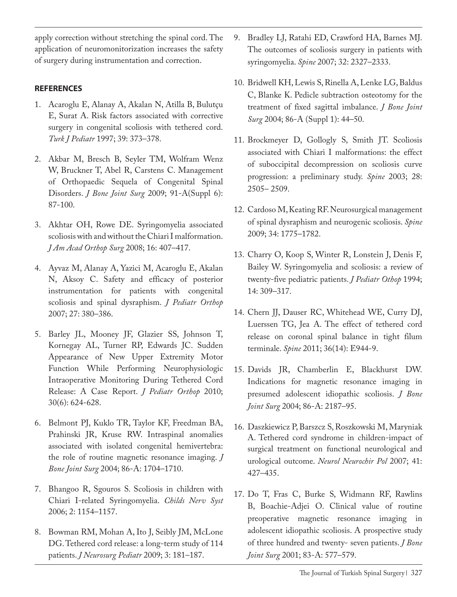apply correction without stretching the spinal cord. The application of neuromonitorization increases the safety of surgery during instrumentation and correction.

### **REFERENCES**

- 1. Acaroglu E, Alanay A, Akalan N, Atilla B, Bulutçu E, Surat A. Risk factors associated with corrective surgery in congenital scoliosis with tethered cord. *Turk J Pediatr* 1997; 39: 373–378.
- 2. Akbar M, Bresch B, Seyler TM, Wolfram Wenz W, Bruckner T, Abel R, Carstens C. Management of Orthopaedic Sequela of Congenital Spinal Disorders. *J Bone Joint Surg* 2009; 91-A(Suppl 6): 87-100.
- 3. Akhtar OH, Rowe DE. Syringomyelia associated scoliosis with and without the Chiari I malformation. *J Am Acad Orthop Surg* 2008; 16: 407–417.
- 4. Ayvaz M, Alanay A, Yazici M, Acaroglu E, Akalan N, Aksoy C. Safety and efficacy of posterior instrumentation for patients with congenital scoliosis and spinal dysraphism. *J Pediatr Orthop*  2007; 27: 380–386.
- 5. Barley JL, Mooney JF, Glazier SS, Johnson T, Kornegay AL, Turner RP, Edwards JC. Sudden Appearance of New Upper Extremity Motor Function While Performing Neurophysiologic Intraoperative Monitoring During Tethered Cord Release: A Case Report. *J Pediatr Orthop* 2010; 30(6): 624-628.
- 6. Belmont PJ, Kuklo TR, Taylor KF, Freedman BA, Prahinski JR, Kruse RW. Intraspinal anomalies associated with isolated congenital hemivertebra: the role of routine magnetic resonance imaging. *J Bone Joint Surg* 2004; 86-A: 1704–1710.
- 7. Bhangoo R, Sgouros S. Scoliosis in children with Chiari I-related Syringomyelia. *Childs Nerv Syst*  2006; 2: 1154–1157.
- 8. Bowman RM, Mohan A, Ito J, Seibly JM, McLone DG. Tethered cord release: a long-term study of 114 patients. *J Neurosurg Pediatr* 2009; 3: 181–187.
- 9. Bradley LJ, Ratahi ED, Crawford HA, Barnes MJ. The outcomes of scoliosis surgery in patients with syringomyelia. *Spine* 2007; 32: 2327–2333.
- 10. Bridwell KH, Lewis S, Rinella A, Lenke LG, Baldus C, Blanke K. Pedicle subtraction osteotomy for the treatment of fixed sagittal imbalance. *J Bone Joint Surg* 2004; 86-A (Suppl 1): 44–50.
- 11. Brockmeyer D, Gollogly S, Smith JT. Scoliosis associated with Chiari I malformations: the effect of suboccipital decompression on scoliosis curve progression: a preliminary study. *Spine* 2003; 28: 2505– 2509.
- 12. Cardoso M, Keating RF. Neurosurgical management of spinal dysraphism and neurogenic scoliosis. *Spine*  2009; 34: 1775–1782.
- 13. Charry O, Koop S, Winter R, Lonstein J, Denis F, Bailey W. Syringomyelia and scoliosis: a review of twenty-five pediatric patients. *J Pediatr Othop* 1994; 14: 309–317.
- 14. Chern JJ, Dauser RC, Whitehead WE, Curry DJ, Luerssen TG, Jea A. The effect of tethered cord release on coronal spinal balance in tight filum terminale. *Spine* 2011; 36(14): E944-9.
- 15. Davids JR, Chamberlin E, Blackhurst DW. Indications for magnetic resonance imaging in presumed adolescent idiopathic scoliosis. *J Bone Joint Surg* 2004; 86-A: 2187–95.
- 16. Daszkiewicz P, Barszcz S, Roszkowski M, Maryniak A. Tethered cord syndrome in children-impact of surgical treatment on functional neurological and urological outcome. *Neurol Neurochir Pol* 2007; 41: 427–435.
- 17. Do T, Fras C, Burke S, Widmann RF, Rawlins B, Boachie-Adjei O. Clinical value of routine preoperative magnetic resonance imaging in adolescent idiopathic scoliosis. A prospective study of three hundred and twenty- seven patients. *J Bone Joint Surg* 2001; 83-A: 577–579.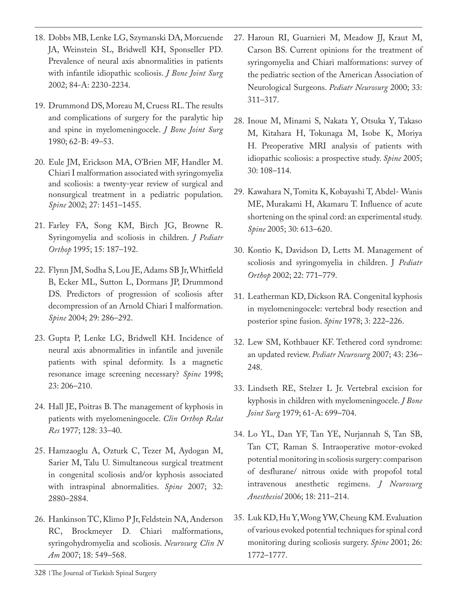- 18. Dobbs MB, Lenke LG, Szymanski DA, Morcuende JA, Weinstein SL, Bridwell KH, Sponseller PD. Prevalence of neural axis abnormalities in patients with infantile idiopathic scoliosis. *J Bone Joint Surg*  2002; 84-A: 2230-2234.
- 19. Drummond DS, Moreau M, Cruess RL. The results and complications of surgery for the paralytic hip and spine in myelomeningocele. *J Bone Joint Surg*  1980; 62-B: 49–53.
- 20. Eule JM, Erickson MA, O'Brien MF, Handler M. Chiari I malformation associated with syringomyelia and scoliosis: a twenty-year review of surgical and nonsurgical treatment in a pediatric population. *Spine* 2002; 27: 1451–1455.
- 21. Farley FA, Song KM, Birch JG, Browne R. Syringomyelia and scoliosis in children. *J Pediatr Orthop* 1995; 15: 187–192.
- 22. Flynn JM, Sodha S, Lou JE, Adams SB Jr, Whitfield B, Ecker ML, Sutton L, Dormans JP, Drummond DS. Predictors of progression of scoliosis after decompression of an Arnold Chiari I malformation. *Spine* 2004; 29: 286–292.
- 23. Gupta P, Lenke LG, Bridwell KH. Incidence of neural axis abnormalities in infantile and juvenile patients with spinal deformity. Is a magnetic resonance image screening necessary? *Spine* 1998; 23: 206–210.
- 24. Hall JE, Poitras B. The management of kyphosis in patients with myelomeningocele. *Clin Orthop Relat Res* 1977; 128: 33–40.
- 25. Hamzaoglu A, Ozturk C, Tezer M, Aydogan M, Sarier M, Talu U. Simultaneous surgical treatment in congenital scoliosis and/or kyphosis associated with intraspinal abnormalities. *Spine* 2007; 32: 2880–2884.
- 26. Hankinson TC, Klimo P Jr, Feldstein NA, Anderson RC, Brockmeyer D. Chiari malformations, syringohydromyelia and scoliosis. *Neurosurg Clin N Am* 2007; 18: 549–568.
- 27. Haroun RI, Guarnieri M, Meadow JJ, Kraut M, Carson BS. Current opinions for the treatment of syringomyelia and Chiari malformations: survey of the pediatric section of the American Association of Neurological Surgeons. *Pediatr Neurosurg* 2000; 33: 311–317.
- 28. Inoue M, Minami S, Nakata Y, Otsuka Y, Takaso M, Kitahara H, Tokunaga M, Isobe K, Moriya H. Preoperative MRI analysis of patients with idiopathic scoliosis: a prospective study. *Spine* 2005; 30: 108–114.
- 29. Kawahara N, Tomita K, Kobayashi T, Abdel- Wanis ME, Murakami H, Akamaru T. Influence of acute shortening on the spinal cord: an experimental study. *Spine* 2005; 30: 613–620.
- 30. Kontio K, Davidson D, Letts M. Management of scoliosis and syringomyelia in children. J *Pediatr Orthop* 2002; 22: 771–779.
- 31. Leatherman KD, Dickson RA. Congenital kyphosis in myelomeningocele: vertebral body resection and posterior spine fusion. *Spine* 1978; 3: 222–226.
- 32. Lew SM, Kothbauer KF. Tethered cord syndrome: an updated review. *Pediatr Neurosurg* 2007; 43: 236– 248.
- 33. Lindseth RE, Stelzer L Jr. Vertebral excision for kyphosis in children with myelomeningocele. *J Bone Joint Surg* 1979; 61-A: 699–704.
- 34. Lo YL, Dan YF, Tan YE, Nurjannah S, Tan SB, Tan CT, Raman S. Intraoperative motor-evoked potential monitoring in scoliosis surgery: comparison of desflurane/ nitrous oxide with propofol total intravenous anesthetic regimens. *J Neurosurg Anesthesiol* 2006; 18: 211–214.
- 35. Luk KD, Hu Y, Wong YW, Cheung KM. Evaluation of various evoked potential techniques for spinal cord monitoring during scoliosis surgery. *Spine* 2001; 26: 1772–1777.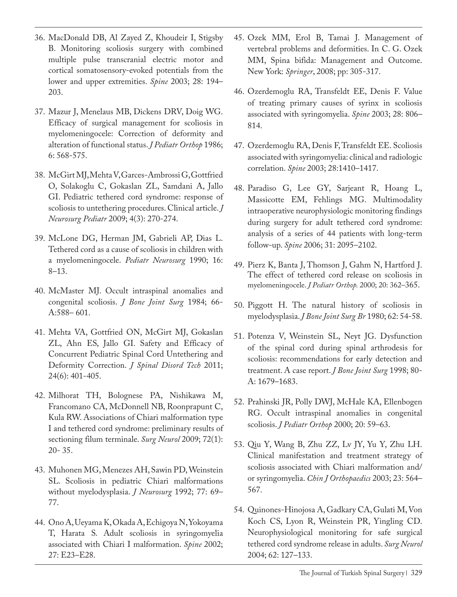- 36. MacDonald DB, Al Zayed Z, Khoudeir I, Stigsby B. Monitoring scoliosis surgery with combined multiple pulse transcranial electric motor and cortical somatosensory-evoked potentials from the lower and upper extremities. *Spine* 2003; 28: 194– 203.
- 37. Mazur J, Menelaus MB, Dickens DRV, Doig WG. Efficacy of surgical management for scoliosis in myelomeningocele: Correction of deformity and alteration of functional status. *J Pediatr Orthop* 1986; 6: 568-575.
- 38. McGirt MJ, Mehta V, Garces-Ambrossi G, Gottfried O, Solakoglu C, Gokaslan ZL, Samdani A, Jallo GI. Pediatric tethered cord syndrome: response of scoliosis to untethering procedures. Clinical article. *J Neurosurg Pediatr* 2009; 4(3): 270-274.
- 39. McLone DG, Herman JM, Gabrieli AP, Dias L. Tethered cord as a cause of scoliosis in children with a myelomeningocele. *Pediatr Neurosurg* 1990; 16: 8–13.
- 40. McMaster MJ. Occult intraspinal anomalies and congenital scoliosis. *J Bone Joint Surg* 1984; 66- A:588– 601.
- 41. Mehta VA, Gottfried ON, McGirt MJ, Gokaslan ZL, Ahn ES, Jallo GI. Safety and Efficacy of Concurrent Pediatric Spinal Cord Untethering and Deformity Correction. *J Spinal Disord Tech* 2011; 24(6): 401-405.
- 42. Milhorat TH, Bolognese PA, Nishikawa M, Francomano CA, McDonnell NB, Roonprapunt C, Kula RW. Associations of Chiari malformation type I and tethered cord syndrome: preliminary results of sectioning filum terminale. *Surg Neurol* 2009; 72(1): 20- 35.
- 43. Muhonen MG, Menezes AH, Sawin PD, Weinstein SL. Scoliosis in pediatric Chiari malformations without myelodysplasia. *J Neurosurg* 1992; 77: 69– 77.
- 44. Ono A, Ueyama K, Okada A, Echigoya N, Yokoyama T, Harata S. Adult scoliosis in syringomyelia associated with Chiari I malformation. *Spine* 2002; 27: E23–E28.
- 45. Ozek MM, Erol B, Tamai J. Management of vertebral problems and deformities. In C. G. Ozek MM, Spina bifida: Management and Outcome. New York: *Springer*, 2008; pp: 305-317.
- 46. Ozerdemoglu RA, Transfeldt EE, Denis F. Value of treating primary causes of syrinx in scoliosis associated with syringomyelia. *Spine* 2003; 28: 806– 814.
- 47. Ozerdemoglu RA, Denis F, Transfeldt EE. Scoliosis associated with syringomyelia: clinical and radiologic correlation. *Spine* 2003; 28:1410–1417.
- 48. Paradiso G, Lee GY, Sarjeant R, Hoang L, Massicotte EM, Fehlings MG. Multimodality intraoperative neurophysiologic monitoring findings during surgery for adult tethered cord syndrome: analysis of a series of 44 patients with long-term follow-up. *Spine* 2006; 31: 2095–2102.
- 49. Pierz K, Banta J, Thomson J, Gahm N, Hartford J. The effect of tethered cord release on scoliosis in myelomeningocele. *J Pediatr Orthop.* 2000; 20: 362–365.
- 50. Piggott H. The natural history of scoliosis in myelodysplasia. *J Bone Joint Surg Br* 1980; 62: 54-58.
- 51. Potenza V, Weinstein SL, Neyt JG. Dysfunction of the spinal cord during spinal arthrodesis for scoliosis: recommendations for early detection and treatment. A case report. *J Bone Joint Surg* 1998; 80- A: 1679–1683.
- 52. Prahinski JR, Polly DWJ, McHale KA, Ellenbogen RG. Occult intraspinal anomalies in congenital scoliosis. *J Pediatr Orthop* 2000; 20: 59–63.
- 53. Qiu Y, Wang B, Zhu ZZ, Lv JY, Yu Y, Zhu LH. Clinical manifestation and treatment strategy of scoliosis associated with Chiari malformation and/ or syringomyelia. *Chin J Orthopaedics* 2003; 23: 564– 567.
- 54. Quinones-Hinojosa A, Gadkary CA, Gulati M, Von Koch CS, Lyon R, Weinstein PR, Yingling CD. Neurophysiological monitoring for safe surgical tethered cord syndrome release in adults. *Surg Neurol*  2004; 62: 127–133.